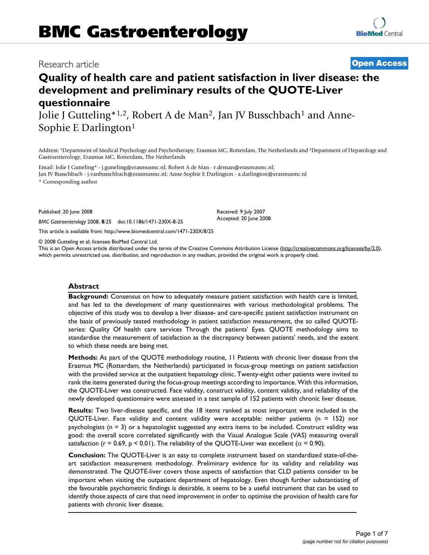# Research article **[Open Access](http://www.biomedcentral.com/info/about/charter/)**

# **Quality of health care and patient satisfaction in liver disease: the development and preliminary results of the QUOTE-Liver questionnaire**

Jolie J Gutteling<sup>\*1,2</sup>, Robert A de Man<sup>2</sup>, Jan JV Busschbach<sup>1</sup> and Anne-Sophie E Darlington1

Address: 1Department of Medical Psychology and Psychotherapy, Erasmus MC, Rotterdam, The Netherlands and 2Department of Hepatology and Gastroenterology, Erasmus MC, Rotterdam, The Netherlands

Email: Jolie J Gutteling\* - j.gutteling@erasmusmc.nl; Robert A de Man - r.deman@erasmusmc.nl; Jan JV Busschbach - j.vanbusschbach@erasmusmc.nl; Anne-Sophie E Darlington - a.darlington@erasmusmc.nl \* Corresponding author

Published: 20 June 2008

*BMC Gastroenterology* 2008, **8**:25 doi:10.1186/1471-230X-8-25

[This article is available from: http://www.biomedcentral.com/1471-230X/8/25](http://www.biomedcentral.com/1471-230X/8/25)

© 2008 Gutteling et al; licensee BioMed Central Ltd.

This is an Open Access article distributed under the terms of the Creative Commons Attribution License [\(http://creativecommons.org/licenses/by/2.0\)](http://creativecommons.org/licenses/by/2.0), which permits unrestricted use, distribution, and reproduction in any medium, provided the original work is properly cited.

Received: 9 July 2007 Accepted: 20 June 2008

# **Abstract**

**Background:** Consensus on how to adequately measure patient satisfaction with health care is limited, and has led to the development of many questionnaires with various methodological problems. The objective of this study was to develop a liver disease- and care-specific patient satisfaction instrument on the basis of previously tested methodology in patient satisfaction measurement, the so called QUOTEseries: Quality Of health care services Through the patients' Eyes. QUOTE methodology aims to standardise the measurement of satisfaction as the discrepancy between patients' needs, and the extent to which these needs are being met.

**Methods:** As part of the QUOTE methodology routine, 11 Patients with chronic liver disease from the Erasmus MC (Rotterdam, the Netherlands) participated in focus-group meetings on patient satisfaction with the provided service at the outpatient hepatology clinic. Twenty-eight other patients were invited to rank the items generated during the focus-group meetings according to importance. With this information, the QUOTE-Liver was constructed. Face validity, construct validity, content validity, and reliability of the newly developed questionnaire were assessed in a test sample of 152 patients with chronic liver disease.

**Results:** Two liver-disease specific, and the 18 items ranked as most important were included in the QUOTE-Liver. Face validity and content validity were acceptable: neither patients (n = 152) nor psychologists (n = 3) or a hepatologist suggested any extra items to be included. Construct validity was good: the overall score correlated significantly with the Visual Analogue Scale (VAS) measuring overall satisfaction (r = 0.69, p < 0.01). The reliability of the QUOTE-Liver was excellent ( $\alpha$  = 0.90).

**Conclusion:** The QUOTE-Liver is an easy to complete instrument based on standardized state-of-theart satisfaction measurement methodology. Preliminary evidence for its validity and reliability was demonstrated. The QUOTE-liver covers those aspects of satisfaction that CLD patients consider to be important when visiting the outpatient department of hepatology. Even though further substantiating of the favourable psychometric findings is desirable, it seems to be a useful instrument that can be used to identify those aspects of care that need improvement in order to optimise the provision of health care for patients with chronic liver disease.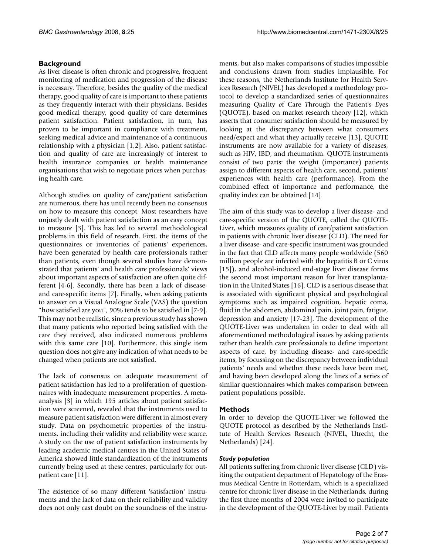# **Background**

As liver disease is often chronic and progressive, frequent monitoring of medication and progression of the disease is necessary. Therefore, besides the quality of the medical therapy, good quality of care is important to these patients as they frequently interact with their physicians. Besides good medical therapy, good quality of care determines patient satisfaction. Patient satisfaction, in turn, has proven to be important in compliance with treatment, seeking medical advice and maintenance of a continuous relationship with a physician [1,2]. Also, patient satisfaction and quality of care are increasingly of interest to health insurance companies or health maintenance organisations that wish to negotiate prices when purchasing health care.

Although studies on quality of care/patient satisfaction are numerous, there has until recently been no consensus on how to measure this concept. Most researchers have unjustly dealt with patient satisfaction as an easy concept to measure [3]. This has led to several methodological problems in this field of research. First, the items of the questionnaires or inventories of patients' experiences, have been generated by health care professionals rather than patients, even though several studies have demonstrated that patients' and health care professionals' views about important aspects of satisfaction are often quite different [4-6]. Secondly, there has been a lack of diseaseand care-specific items [7]. Finally, when asking patients to answer on a Visual Analogue Scale (VAS) the question "how satisfied are you", 90% tends to be satisfied in [7-9]. This may not be realistic, since a previous study has shown that many patients who reported being satisfied with the care they received, also indicated numerous problems with this same care [10]. Furthermore, this single item question does not give any indication of what needs to be changed when patients are not satisfied.

The lack of consensus on adequate measurement of patient satisfaction has led to a proliferation of questionnaires with inadequate measurement properties. A metaanalysis [3] in which 195 articles about patient satisfaction were screened, revealed that the instruments used to measure patient satisfaction were different in almost every study. Data on psychometric properties of the instruments, including their validity and reliability were scarce. A study on the use of patient satisfaction instruments by leading academic medical centres in the United States of America showed little standardization of the instruments currently being used at these centres, particularly for outpatient care [11].

The existence of so many different 'satisfaction' instruments and the lack of data on their reliability and validity does not only cast doubt on the soundness of the instruments, but also makes comparisons of studies impossible and conclusions drawn from studies implausible. For these reasons, the Netherlands Institute for Health Services Research (NIVEL) has developed a methodology protocol to develop a standardized series of questionnaires measuring *Qu*ality *o*f Care *T*hrough the Patient's *E*yes (QUOTE), based on market research theory [12], which asserts that consumer satisfaction should be measured by looking at the discrepancy between what consumers need/expect and what they actually receive [13]. QUOTE instruments are now available for a variety of diseases, such as HIV, IBD, and rheumatism. QUOTE instruments consist of two parts: the weight (importance) patients assign to different aspects of health care, second, patients' experiences with health care (performance). From the combined effect of importance and performance, the quality index can be obtained [14].

The aim of this study was to develop a liver disease- and care-specific version of the QUOTE, called the QUOTE-Liver, which measures quality of care/patient satisfaction in patients with chronic liver disease (CLD). The need for a liver disease- and care-specific instrument was grounded in the fact that CLD affects many people worldwide (560 million people are infected with the hepatitis B or C virus [15]), and alcohol-induced end-stage liver disease forms the second most important reason for liver transplantation in the United States [16]. CLD is a serious disease that is associated with significant physical and psychological symptoms such as impaired cognition, hepatic coma, fluid in the abdomen, abdominal pain, joint pain, fatigue, depression and anxiety [17-23]. The development of the QUOTE-Liver was undertaken in order to deal with all aforementioned methodological issues by asking patients rather than health care professionals to define important aspects of care, by including disease- and care-specific items, by focussing on the discrepancy between individual patients' needs and whether these needs have been met, and having been developed along the lines of a series of similar questionnaires which makes comparison between patient populations possible.

# **Methods**

In order to develop the QUOTE-Liver we followed the QUOTE protocol as described by the Netherlands Institute of Health Services Research (NIVEL, Utrecht, the Netherlands) [24].

# *Study population*

All patients suffering from chronic liver disease (CLD) visiting the outpatient department of Hepatology of the Erasmus Medical Centre in Rotterdam, which is a specialized centre for chronic liver disease in the Netherlands, during the first three months of 2004 were invited to participate in the development of the QUOTE-Liver by mail. Patients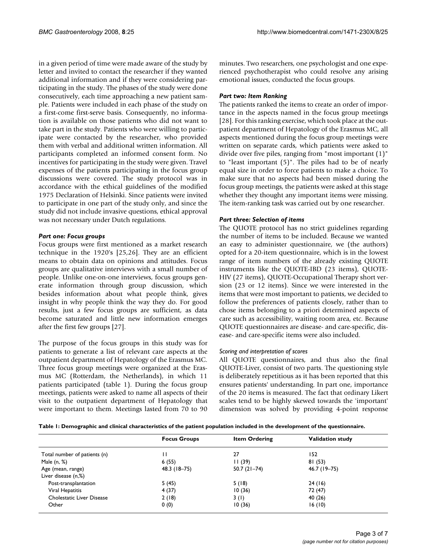in a given period of time were made aware of the study by letter and invited to contact the researcher if they wanted additional information and if they were considering participating in the study. The phases of the study were done consecutively, each time approaching a new patient sample. Patients were included in each phase of the study on a first-come first-serve basis. Consequently, no information is available on those patients who did not want to take part in the study. Patients who were willing to participate were contacted by the researcher, who provided them with verbal and additional written information. All participants completed an informed consent form. No incentives for participating in the study were given. Travel expenses of the patients participating in the focus group discussions were covered. The study protocol was in accordance with the ethical guidelines of the modified 1975 Declaration of Helsinki. Since patients were invited to participate in one part of the study only, and since the study did not include invasive questions, ethical approval was not necessary under Dutch regulations.

#### *Part one: Focus groups*

Focus groups were first mentioned as a market research technique in the 1920's [25,26]. They are an efficient means to obtain data on opinions and attitudes. Focus groups are qualitative interviews with a small number of people. Unlike one-on-one interviews, focus groups generate information through group discussion, which besides information about what people think, gives insight in why people think the way they do. For good results, just a few focus groups are sufficient, as data become saturated and little new information emerges after the first few groups [27].

The purpose of the focus groups in this study was for patients to generate a list of relevant care aspects at the outpatient department of Hepatology of the Erasmus MC. Three focus group meetings were organized at the Erasmus MC (Rotterdam, the Netherlands), in which 11 patients participated (table 1). During the focus group meetings, patients were asked to name all aspects of their visit to the outpatient department of Hepatology that were important to them. Meetings lasted from 70 to 90 minutes. Two researchers, one psychologist and one experienced psychotherapist who could resolve any arising emotional issues, conducted the focus groups.

#### *Part two: Item Ranking*

The patients ranked the items to create an order of importance in the aspects named in the focus group meetings [28]. For this ranking exercise, which took place at the outpatient department of Hepatology of the Erasmus MC, all aspects mentioned during the focus group meetings were written on separate cards, which patients were asked to divide over five piles, ranging from "most important (1)" to "least important (5)". The piles had to be of nearly equal size in order to force patients to make a choice. To make sure that no aspects had been missed during the focus group meetings, the patients were asked at this stage whether they thought any important items were missing. The item-ranking task was carried out by one researcher.

#### *Part three: Selection of items*

The QUOTE protocol has no strict guidelines regarding the number of items to be included. Because we wanted an easy to administer questionnaire, we (the authors) opted for a 20-item questionnaire, which is in the lowest range of item numbers of the already existing QUOTE instruments like the QUOTE-IBD (23 items), QUOTE-HIV (27 items), QUOTE-Occupational Therapy short version (23 or 12 items). Since we were interested in the items that were most important to patients, we decided to follow the preferences of patients closely, rather than to chose items belonging to a priori determined aspects of care such as accessibility, waiting room area, etc. Because QUOTE questionnaires are disease- and care-specific, disease- and care-specific items were also included.

#### *Scoring and interpretation of scores*

All QUOTE questionnaires, and thus also the final QUOTE-Liver, consist of two parts. The questioning style is deliberately repetitious as it has been reported that this ensures patients' understanding. In part one, importance of the 20 items is measured. The fact that ordinary Likert scales tend to be highly skewed towards the 'important' dimension was solved by providing 4-point response

**Table 1: Demographic and clinical characteristics of the patient population included in the development of the questionnaire.**

|                              | <b>Focus Groups</b> | <b>Item Ordering</b> | <b>Validation study</b> |
|------------------------------|---------------------|----------------------|-------------------------|
| Total number of patients (n) |                     | 27                   | 152                     |
| Male (n, %)                  | 6(55)               | 11(39)               | 81(53)                  |
| Age (mean, range)            | 48.3 (18-75)        | $50.7(21-74)$        | 46.7 (19-75)            |
| Liver disease (n,%)          |                     |                      |                         |
| Post-transplantation         | 5(45)               | 5(18)                | 24(16)                  |
| Viral Hepatitis              | 4(37)               | 10(36)               | 72 (47)                 |
| Cholestatic Liver Disease    | 2(18)               | 3(1)                 | 40 (26)                 |
| Other                        | 0(0)                | 10(36)               | 16(10)                  |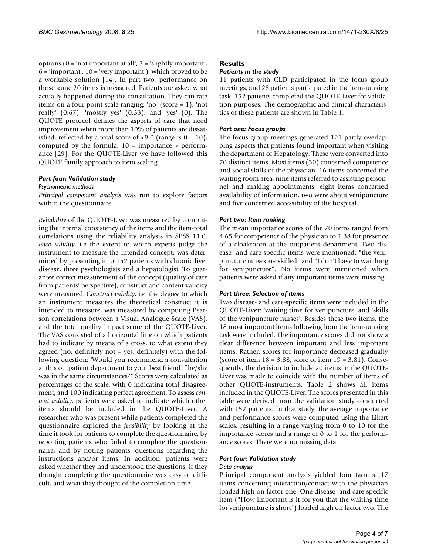options (0 = 'not important at all', 3 = 'slightly important', 6 = 'important', 10 = 'very important'), which proved to be a workable solution [14]. In part two, performance on those same 20 items is measured. Patients are asked what actually happened during the consultation. They can rate items on a four-point scale ranging: 'no' (score = 1), 'not really' (0.67), 'mostly yes' (0.33), and 'yes' (0). The QUOTE protocol defines the aspects of care that need improvement when more than 10% of patients are dissatisfied, reflected by a total score of  $\langle 9.0 \rangle$  (range is  $0 - 10$ ), computed by the formula:  $10 -$  importance  $\times$  performance [29]. For the QUOTE-Liver we have followed this QUOTE family approach to item scaling.

#### *Part four: Validation study*

#### *Psychometric methods*

*Principal component analysis* was run to explore factors within the questionnaire.

*Reliability* of the QUOTE-Liver was measured by computing the internal consistency of the items and the item-total correlations using the reliability analysis in SPSS 11.0. *Face validity*, i.e the extent to which experts judge the instrument to measure the intended concept, was determined by presenting it to 152 patients with chronic liver disease, three psychologists and a hepatologist. To guarantee correct measurement of the concept (quality of care from patients' perspective), construct and content validity were measured. *Construct validity*, i.e. the degree to which an instrument measures the theoretical construct it is intended to measure, was measured by computing Pearson correlations between a Visual Analogue Scale (VAS), and the total quality impact score of the QUOTE-Liver. The VAS consisted of a horizontal line on which patients had to indicate by means of a cross, to what extent they agreed (no, definitely not – yes, definitely) with the following question: 'Would you recommend a consultation at this outpatient department to your best friend if he/she was in the same circumstances?" Scores were calculated as percentages of the scale, with 0 indicating total disagreement, and 100 indicating perfect agreement. To assess *content validity*, patients were asked to indicate which other items should be included in the QUOTE-Liver. A researcher who was present while patients completed the questionnaire explored the *feasibility* by looking at the time it took for patients to complete the questionnaire, by reporting patients who failed to complete the questionnaire, and by noting patients' questions regarding the instructions and/or items. In addition, patients were asked whether they had understood the questions, if they thought completing the questionnaire was easy or difficult, and what they thought of the completion time.

# **Results**

#### *Patients in the study*

11 patients with CLD participated in the focus group meetings, and 28 patients participated in the item-ranking task. 152 patients completed the QUOTE-Liver for validation purposes. The demographic and clinical characteristics of these patients are shown in Table 1.

#### *Part one: Focus groups*

The focus group meetings generated 121 partly overlapping aspects that patients found important when visiting the department of Hepatology. These were converted into 70 distinct items. Most items (30) concerned competence and social skills of the physician. 16 items concerned the waiting room area, nine items referred to assisting personnel and making appointments, eight items concerned availability of information, two were about venipuncture and five concerned accessibility of the hospital.

#### *Part two: Item ranking*

The mean importance scores of the 70 items ranged from 4.65 for competence of the physician to 1.38 for presence of a cloakroom at the outpatient department. Two disease- and care-specific items were mentioned: "the venipuncture nurses are skilled" and "I don't have to wait long for venipuncture". No items were mentioned when patients were asked if any important items were missing.

#### *Part three: Selection of items*

Two disease- and care-specific items were included in the QUOTE-Liver: 'waiting time for venipuncture' and 'skills of the venipuncture nurses'. Besides these two items, the 18 most important items following from the item-ranking task were included. The importance scores did not show a clear difference between important and less important items. Rather, scores for importance decreased gradually (score of item  $18 = 3.88$ , score of item  $19 = 3.81$ ). Consequently, the decision to include 20 items in the QUOTE-Liver was made to coincide with the number of items of other QUOTE-instruments. Table 2 shows all items included in the QUOTE-Liver. The scores presented in this table were derived from the validation study conducted with 152 patients. In that study, the average importance and performance scores were computed using the Likert scales, resulting in a range varying from 0 to 10 for the importance scores and a range of 0 to 1 for the performance scores. There were no missing data.

# *Part four: Validation study*

# *Data analysis*

Principal component analysis yielded four factors. 17 items concerning interaction/contact with the physician loaded high on factor one. One disease- and care-specific item ("How important is it for you that the waiting time for venipuncture is short") loaded high on factor two. The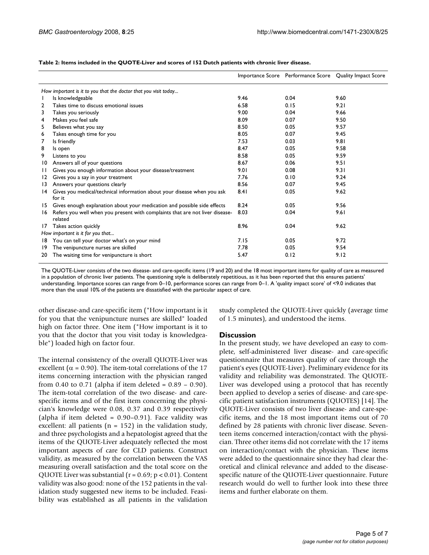| Table 2: Items included in the QUOTE-Liver and scores of 152 Dutch patients with chronic liver disease. |  |  |  |
|---------------------------------------------------------------------------------------------------------|--|--|--|
|---------------------------------------------------------------------------------------------------------|--|--|--|

|                 |                                                                                         |      |      | Importance Score Performance Score Quality Impact Score |
|-----------------|-----------------------------------------------------------------------------------------|------|------|---------------------------------------------------------|
|                 | How important is it to you that the doctor that you visit today                         |      |      |                                                         |
|                 | Is knowledgeable                                                                        | 9.46 | 0.04 | 9.60                                                    |
| 2               | Takes time to discuss emotional issues                                                  | 6.58 | 0.15 | 9.21                                                    |
| 3               | Takes you seriously                                                                     | 9.00 | 0.04 | 9.66                                                    |
| 4               | Makes you feel safe                                                                     | 8.09 | 0.07 | 9.50                                                    |
| 5               | Believes what you say                                                                   | 8.50 | 0.05 | 9.57                                                    |
| 6               | Takes enough time for you                                                               | 8.05 | 0.07 | 9.45                                                    |
| 7               | Is friendly                                                                             | 7.53 | 0.03 | 9.81                                                    |
| 8               | Is open                                                                                 | 8.47 | 0.05 | 9.58                                                    |
| 9               | Listens to you                                                                          | 8.58 | 0.05 | 9.59                                                    |
| $\overline{10}$ | Answers all of your questions                                                           | 8.67 | 0.06 | 9.51                                                    |
| Ħ               | Gives you enough information about your disease/treatment                               | 9.01 | 0.08 | 9.31                                                    |
| $\overline{2}$  | Gives you a say in your treatment                                                       | 7.76 | 0.10 | 9.24                                                    |
| 13              | Answers your questions clearly                                                          | 8.56 | 0.07 | 9.45                                                    |
| 14              | Gives you medical/technical information about your disease when you ask<br>for it       | 8.41 | 0.05 | 9.62                                                    |
| 15              | Gives enough explanation about your medication and possible side effects                | 8.24 | 0.05 | 9.56                                                    |
| 16              | Refers you well when you present with complaints that are not liver disease-<br>related | 8.03 | 0.04 | 9.61                                                    |
| 17              | Takes action quickly                                                                    | 8.96 | 0.04 | 9.62                                                    |
|                 | How important is it for you that                                                        |      |      |                                                         |
| 18              | You can tell your doctor what's on your mind                                            | 7.15 | 0.05 | 9.72                                                    |
| 19              | The venipuncture nurses are skilled                                                     | 7.78 | 0.05 | 9.54                                                    |
| 20              | The waiting time for venipuncture is short                                              | 5.47 | 0.12 | 9.12                                                    |

The QUOTE-Liver consists of the two disease- and care-specific items (19 and 20) and the 18 most important items for quality of care as measured in a population of chronic liver patients. The questioning style is deliberately repetitious, as it has been reported that this ensures patients' understanding. Importance scores can range from 0–10, performance scores can range from 0–1. A 'quality impact score' of <9.0 indicates that more than the usual 10% of the patients are dissatisfied with the particular aspect of care.

other disease-and care-specific item ("How important is it for you that the venipuncture nurses are skilled" loaded high on factor three. One item ("How important is it to you that the doctor that you visit today is knowledgeable") loaded high on factor four.

The internal consistency of the overall QUOTE-Liver was excellent ( $\alpha$  = 0.90). The item-total correlations of the 17 items concerning interaction with the physician ranged from 0.40 to 0.71 (alpha if item deleted =  $0.89 - 0.90$ ). The item-total correlation of the two disease- and carespecific items and of the first item concerning the physician's knowledge were 0.08, 0.37 and 0.39 respectively (alpha if item deleted =  $0.90-0.91$ ). Face validity was excellent: all patients ( $n = 152$ ) in the validation study, and three psychologists and a hepatologist agreed that the items of the QUOTE-Liver adequately reflected the most important aspects of care for CLD patients. Construct validity, as measured by the correlation between the VAS measuring overall satisfaction and the total score on the QUOTE Liver was substantial ( $r = 0.69$ ;  $p < 0.01$ ). Content validity was also good: none of the 152 patients in the validation study suggested new items to be included. Feasibility was established as all patients in the validation study completed the QUOTE-Liver quickly (average time of 1.5 minutes), and understood the items.

#### **Discussion**

In the present study, we have developed an easy to complete, self-administered liver disease- and care-specific questionnaire that measures quality of care through the patient's eyes (QUOTE-Liver). Preliminary evidence for its validity and reliability was demonstrated. The QUOTE-Liver was developed using a protocol that has recently been applied to develop a series of disease- and care-specific patient satisfaction instruments (QUOTES) [14]. The QUOTE-Liver consists of two liver disease- and care-specific items, and the 18 most important items out of 70 defined by 28 patients with chronic liver disease. Seventeen items concerned interaction/contact with the physician. Three other items did not correlate with the 17 items on interaction/contact with the physician. These items were added to the questionnaire since they had clear theoretical and clinical relevance and added to the diseasespecific nature of the QUOTE-Liver questionnaire. Future research would do well to further look into these three items and further elaborate on them.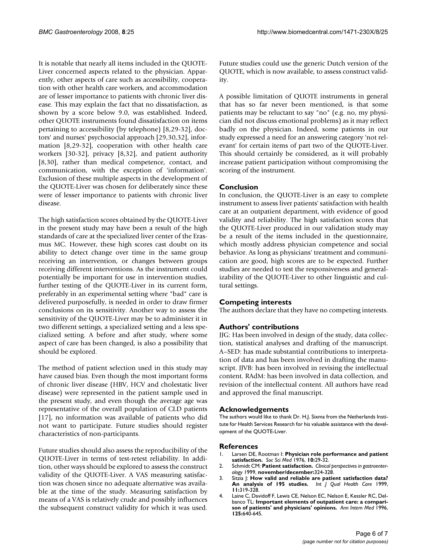It is notable that nearly all items included in the QUOTE-Liver concerned aspects related to the physician. Apparently, other aspects of care such as accessibility, cooperation with other health care workers, and accommodation are of lesser importance to patients with chronic liver disease. This may explain the fact that no dissatisfaction, as shown by a score below 9.0, was established. Indeed, other QUOTE instruments found dissatisfaction on items pertaining to accessibility (by telephone) [8,29-32], doctors' and nurses' psychosocial approach [29,30,32], information [8,29-32], cooperation with other health care workers [30-32], privacy [8,32], and patient authority [8,30], rather than medical competence, contact, and communication, with the exception of 'information'. Exclusion of these multiple aspects in the development of the QUOTE-Liver was chosen for deliberately since these were of lesser importance to patients with chronic liver disease.

The high satisfaction scores obtained by the QUOTE-Liver in the present study may have been a result of the high standards of care at the specialized liver center of the Erasmus MC. However, these high scores cast doubt on its ability to detect change over time in the same group receiving an intervention, or changes between groups receiving different interventions. As the instrument could potentially be important for use in intervention studies, further testing of the QUOTE-Liver in its current form, preferably in an experimental setting where "bad" care is delivered purposefully, is needed in order to draw firmer conclusions on its sensitivity. Another way to assess the sensitivity of the QUOTE-Liver may be to administer it in two different settings, a specialized setting and a less specialized setting. A before and after study, where some aspect of care has been changed, is also a possibility that should be explored.

The method of patient selection used in this study may have caused bias. Even though the most important forms of chronic liver disease (HBV, HCV and cholestatic liver disease) were represented in the patient sample used in the present study, and even though the average age was representative of the overall population of CLD patients [17], no information was available of patients who did not want to participate. Future studies should register characteristics of non-participants.

Future studies should also assess the reproducibility of the QUOTE-Liver in terms of test-retest reliability. In addition, other ways should be explored to assess the construct validity of the QUOTE-Liver. A VAS measuring satisfaction was chosen since no adequate alternative was available at the time of the study. Measuring satisfaction by means of a VAS is relatively crude and possibly influences the subsequent construct validity for which it was used.

Future studies could use the generic Dutch version of the QUOTE, which is now available, to assess construct validity.

A possible limitation of QUOTE instruments in general that has so far never been mentioned, is that some patients may be reluctant to say "no" (e.g. no, my physician did not discuss emotional problems) as it may reflect badly on the physician. Indeed, some patients in our study expressed a need for an answering category 'not relevant' for certain items of part two of the QUOTE-Liver. This should certainly be considered, as it will probably increase patient participation without compromising the scoring of the instrument.

# **Conclusion**

In conclusion, the QUOTE-Liver is an easy to complete instrument to assess liver patients' satisfaction with health care at an outpatient department, with evidence of good validity and reliability. The high satisfaction scores that the QUOTE-Liver produced in our validation study may be a result of the items included in the questionnaire, which mostly address physician competence and social behavior. As long as physicians' treatment and communication are good, high scores are to be expected. Further studies are needed to test the responsiveness and generalizability of the QUOTE-Liver to other linguistic and cultural settings.

# **Competing interests**

The authors declare that they have no competing interests.

# **Authors' contributions**

JJG: Has been involved in design of the study, data collection, statistical analyses and drafting of the manuscript. A–SED: has made substantial contributions to interpretation of data and has been involved in drafting the manuscript. JJVB: has been involved in revising the intellectual content. RAdM: has been involved in data collection, and revision of the intellectual content. All authors have read and approved the final manuscript.

# **Acknowledgements**

The authors would like to thank Dr. H.J. Sixma from the Netherlands Institute for Health Services Research for his valuable assistance with the development of the QUOTE-Liver.

# **References**

- 1. Larsen DE, Rootman I: **[Physician role performance and patient](http://www.ncbi.nlm.nih.gov/entrez/query.fcgi?cmd=Retrieve&db=PubMed&dopt=Abstract&list_uids=1265486) [satisfaction.](http://www.ncbi.nlm.nih.gov/entrez/query.fcgi?cmd=Retrieve&db=PubMed&dopt=Abstract&list_uids=1265486)** *Soc Sci Med* 1976, **10:**29-32.
- 2. Schmidt CM: **Patient satisfaction.** *Clinical perspectives in gastroenterology* 1999, **november/december:**324-328.
- 3. Sitzia J: **[How valid and reliable are patient satisfaction data?](http://www.ncbi.nlm.nih.gov/entrez/query.fcgi?cmd=Retrieve&db=PubMed&dopt=Abstract&list_uids=10501602) [An analysis of 195 studies.](http://www.ncbi.nlm.nih.gov/entrez/query.fcgi?cmd=Retrieve&db=PubMed&dopt=Abstract&list_uids=10501602)** *Int J Qual Health Care* 1999, **11:**319-328.
- 4. Laine C, Davidoff F, Lewis CE, Nelson EC, Nelson E, Kessler RC, Delbanco TL: **[Important elements of outpatient care: a compari](http://www.ncbi.nlm.nih.gov/entrez/query.fcgi?cmd=Retrieve&db=PubMed&dopt=Abstract&list_uids=8849148)[son of patients' and physicians' opinions.](http://www.ncbi.nlm.nih.gov/entrez/query.fcgi?cmd=Retrieve&db=PubMed&dopt=Abstract&list_uids=8849148)** *Ann Intern Med* 1996, **125:**640-645.